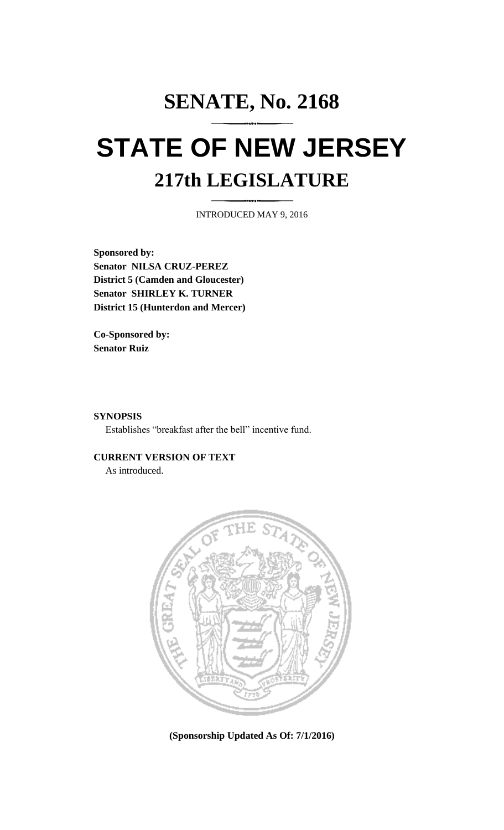## **SENATE, No. 2168 STATE OF NEW JERSEY 217th LEGISLATURE**

INTRODUCED MAY 9, 2016

**Sponsored by: Senator NILSA CRUZ-PEREZ District 5 (Camden and Gloucester) Senator SHIRLEY K. TURNER District 15 (Hunterdon and Mercer)**

**Co-Sponsored by: Senator Ruiz**

**SYNOPSIS**

Establishes "breakfast after the bell" incentive fund.

**CURRENT VERSION OF TEXT**  As introduced.



**(Sponsorship Updated As Of: 7/1/2016)**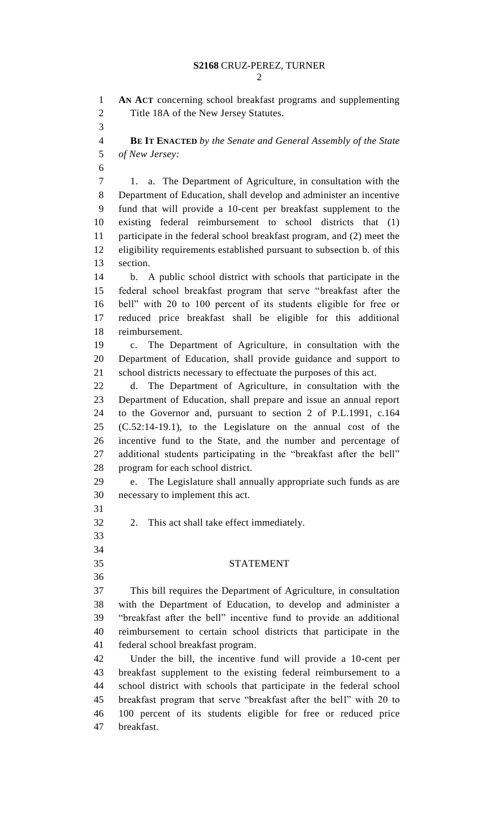**AN ACT** concerning school breakfast programs and supplementing Title 18A of the New Jersey Statutes. **BE IT ENACTED** *by the Senate and General Assembly of the State of New Jersey:* 1. a. The Department of Agriculture, in consultation with the Department of Education, shall develop and administer an incentive fund that will provide a 10-cent per breakfast supplement to the existing federal reimbursement to school districts that (1) participate in the federal school breakfast program, and (2) meet the eligibility requirements established pursuant to subsection b. of this section. b. A public school district with schools that participate in the federal school breakfast program that serve "breakfast after the bell" with 20 to 100 percent of its students eligible for free or reduced price breakfast shall be eligible for this additional reimbursement. c. The Department of Agriculture, in consultation with the Department of Education, shall provide guidance and support to school districts necessary to effectuate the purposes of this act. d. The Department of Agriculture, in consultation with the Department of Education, shall prepare and issue an annual report to the Governor and, pursuant to section 2 of P.L.1991, c.164 (C.52:14-19.1), to the Legislature on the annual cost of the incentive fund to the State, and the number and percentage of additional students participating in the "breakfast after the bell" program for each school district. e. The Legislature shall annually appropriate such funds as are necessary to implement this act. 2. This act shall take effect immediately. STATEMENT This bill requires the Department of Agriculture, in consultation with the Department of Education, to develop and administer a "breakfast after the bell" incentive fund to provide an additional reimbursement to certain school districts that participate in the federal school breakfast program. Under the bill, the incentive fund will provide a 10-cent per breakfast supplement to the existing federal reimbursement to a school district with schools that participate in the federal school breakfast program that serve "breakfast after the bell" with 20 to 100 percent of its students eligible for free or reduced price breakfast.